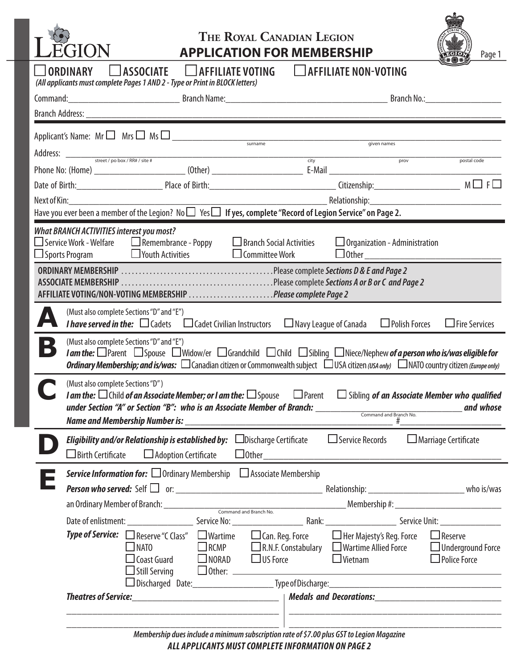

# **The Royal Canadian Legion APPLICATION FOR MEMBERSHIP**



| <b>ORDINARY</b><br>(All applicants must complete Pages 1 AND 2 - Type or Print in BLOCK letters)                  | <b>ASSOCIATE</b>                                                                                                          | $\Box$ AFFILIATE VOTING                                               |                              | <b>AFFILIATE NON-VOTING</b>                                                                                                                                                                                                                                                                 |                                       |
|-------------------------------------------------------------------------------------------------------------------|---------------------------------------------------------------------------------------------------------------------------|-----------------------------------------------------------------------|------------------------------|---------------------------------------------------------------------------------------------------------------------------------------------------------------------------------------------------------------------------------------------------------------------------------------------|---------------------------------------|
|                                                                                                                   |                                                                                                                           |                                                                       |                              |                                                                                                                                                                                                                                                                                             |                                       |
| Branch Address: ____                                                                                              |                                                                                                                           |                                                                       |                              |                                                                                                                                                                                                                                                                                             |                                       |
| Applicant's Name: $Mr \Box$ Mrs $\Box$ Ms $\Box$ $\Box$                                                           |                                                                                                                           | surname                                                               |                              |                                                                                                                                                                                                                                                                                             |                                       |
| Address: $\frac{1}{\sqrt{1-\frac{1}{n}}\sqrt{1-\frac{1}{n}}\sqrt{1-\frac{1}{n}}}}$ street / po box / RR# / site # |                                                                                                                           |                                                                       |                              | given names                                                                                                                                                                                                                                                                                 |                                       |
|                                                                                                                   |                                                                                                                           |                                                                       | city                         | prov                                                                                                                                                                                                                                                                                        | postal code                           |
|                                                                                                                   |                                                                                                                           |                                                                       |                              |                                                                                                                                                                                                                                                                                             |                                       |
|                                                                                                                   |                                                                                                                           |                                                                       |                              |                                                                                                                                                                                                                                                                                             |                                       |
|                                                                                                                   |                                                                                                                           |                                                                       |                              |                                                                                                                                                                                                                                                                                             |                                       |
| <b>What BRANCH ACTIVITIES interest you most?</b><br>Service Work - Welfare<br>$\Box$ Sports Program               | $\Box$ Remembrance - Poppy<br>$\Box$ Youth Activities                                                                     | $\Box$ Branch Social Activities<br>$\Box$ Committee Work              |                              | $\Box$ Organization - Administration<br>$\Box$ Other                                                                                                                                                                                                                                        |                                       |
|                                                                                                                   | AFFILIATE VOTING/NON-VOTING MEMBERSHIP Please complete Page 2                                                             |                                                                       |                              |                                                                                                                                                                                                                                                                                             |                                       |
|                                                                                                                   | (Must also complete Sections "D" and "E")<br><b>I have served in the:</b> $\Box$ Cadets $\Box$ Cadet Civilian Instructors |                                                                       | $\Box$ Navy League of Canada | Polish Forces                                                                                                                                                                                                                                                                               | $\Box$ Fire Services                  |
|                                                                                                                   | (Must also complete Sections "D" and "E")                                                                                 |                                                                       |                              | I am the: □ Parent □ Spouse □ Widow/er □ Grandchild □ Child □ Sibling □ Niece/Nephew of a person who is/was eligible for<br><b>Ordinary Membership; and is/was:</b> $\Box$ Canadian citizen or Commonwealth subject $\Box$ USA citizen (USA only) $\Box$ NATO country citizen (Europe only) |                                       |
| (Must also complete Sections "D")                                                                                 | <b>I am the:</b> $\Box$ Child <b>of an Associate Member; or I am the:</b> $\Box$ Spouse $\Box$ Parent                     |                                                                       |                              | $\Box$ Sibling of an Associate Member who qualified<br><i>rtain tire.</i> $\Box$ cline of <i>all containts are not contained to the moter of Branch:</i> <u>command and Branch No.</u>                                                                                                      | and whose<br>$\frac{1}{2}$            |
| $\Box$ Birth Certificate                                                                                          | $\Box$ Adoption Certificate                                                                                               |                                                                       |                              | <b>Eligibility and/or Relationship is established by:</b> $\Box$ Discharge Certificate $\Box$ Service Records $\Box$ Marriage Certificate                                                                                                                                                   |                                       |
|                                                                                                                   | <b>Service Information for:</b> $\Box$ Ordinary Membership $\Box$ Associate Membership                                    |                                                                       |                              |                                                                                                                                                                                                                                                                                             |                                       |
|                                                                                                                   |                                                                                                                           |                                                                       |                              | $Person who served: Self \Box or: ___________$                                                                                                                                                                                                                                              |                                       |
|                                                                                                                   |                                                                                                                           |                                                                       |                              |                                                                                                                                                                                                                                                                                             |                                       |
|                                                                                                                   |                                                                                                                           |                                                                       |                              |                                                                                                                                                                                                                                                                                             |                                       |
|                                                                                                                   | <b>Type of Service:</b> □ Reserve "C Class" □ Wartime<br>I NATO<br>$\Box$ Coast Guard<br>$\Box$ Still Serving             | $\Box$ Can. Reg. Force<br>$\Box$ RCMP<br>$\Box$ NORAD $\Box$ US Force |                              | $\Box$ Her Majesty's Reg. Force<br>$\square$ R.N.F. Constabulary $\square$ Wartime Allied Force $\square$ Underground Force<br>$\Box$ Vietnam                                                                                                                                               | $\Box$ Reserve<br>$\Box$ Police Force |
|                                                                                                                   |                                                                                                                           |                                                                       |                              |                                                                                                                                                                                                                                                                                             |                                       |

*Membership dues include a minimum subscription rate of \$***7***.00 plus GST to Legion Magazine All applicants MUST complete information on Page 2*

**\_\_\_\_\_\_\_\_\_\_\_\_\_\_\_\_\_\_\_\_\_\_\_\_\_\_\_\_\_\_\_\_\_\_\_\_\_\_\_\_\_ \_\_\_\_\_\_\_\_\_\_\_\_\_\_\_\_\_\_\_\_\_\_\_\_\_\_\_\_\_\_\_\_\_\_\_\_\_\_\_\_\_**